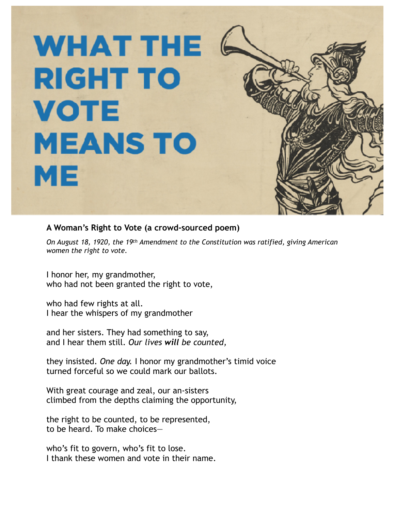## **WHAT THE RIGHT TO VOTE MEANS TO** ME

## **A Woman's Right to Vote (a crowd-sourced poem)**

*On August 18, 1920, the 19th Amendment to the Constitution was ratified, giving American women the right to vote.* 

I honor her, my grandmother, who had not been granted the right to vote,

who had few rights at all. I hear the whispers of my grandmother

and her sisters. They had something to say, and I hear them still. *Our lives will be counted,*

they insisted. *One day.* I honor my grandmother's timid voice turned forceful so we could mark our ballots.

With great courage and zeal, our an-sisters climbed from the depths claiming the opportunity,

the right to be counted, to be represented, to be heard. To make choices—

who's fit to govern, who's fit to lose. I thank these women and vote in their name.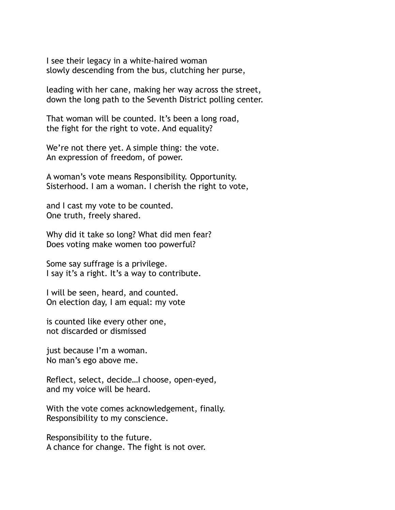I see their legacy in a white-haired woman slowly descending from the bus, clutching her purse,

leading with her cane, making her way across the street, down the long path to the Seventh District polling center.

That woman will be counted. It's been a long road, the fight for the right to vote. And equality?

We're not there yet. A simple thing: the vote. An expression of freedom, of power.

A woman's vote means Responsibility. Opportunity. Sisterhood. I am a woman. I cherish the right to vote,

and I cast my vote to be counted. One truth, freely shared.

Why did it take so long? What did men fear? Does voting make women too powerful?

Some say suffrage is a privilege. I say it's a right. It's a way to contribute.

I will be seen, heard, and counted. On election day, I am equal: my vote

is counted like every other one, not discarded or dismissed

just because I'm a woman. No man's ego above me.

Reflect, select, decide…I choose, open-eyed, and my voice will be heard.

With the vote comes acknowledgement, finally. Responsibility to my conscience.

Responsibility to the future. A chance for change. The fight is not over.